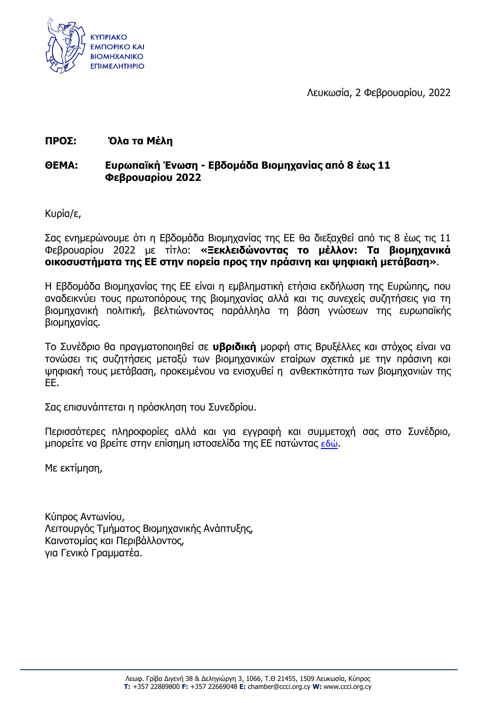

Λευκωσία, 2 Φεβρουαρίου, 2022

## **ΠΡΟΣ: Όλα τα Μέλη**

## **ΘΕΜΑ: Ευρωπαϊκή Ένωση - Εβδομάδα Βιομηχανίας από 8 έως 11 Φεβρουαρίου 2022**

Κυρία/ε,

Σας ενημερώνουμε ότι η Εβδομάδα Βιομηχανίας της ΕΕ θα διεξαχθεί από τις 8 έως τις 11 Φεβρουαρίου 2022 με τίτλο: **«Ξεκλειδώνοντας το μέλλον: Τα βιομηχανικά οικοσυστήματα της ΕΕ στην πορεία προς την πράσινη και ψηφιακή μετάβαση»**.

Η Εβδομάδα Βιομηχανίας της ΕΕ είναι η εμβληματική ετήσια εκδήλωση της Ευρώπης, που αναδεικνύει τους πρωτοπόρους της βιομηχανίας αλλά και τις συνεχείς συζητήσεις για τη βιομηχανική πολιτική, βελτιώνοντας παράλληλα τη βάση γνώσεων της ευρωπαϊκής βιομηχανίας.

Το Συνέδριο θα πραγματοποιηθεί σε **υβριδική** μορφή στις Βρυξέλλες και στόχος είναι να τονώσει τις συζητήσεις μεταξύ των βιομηχανικών εταίρων σχετικά με την πράσινη και ψηφιακή τους μετάβαση, προκειμένου να ενισχυθεί η ανθεκτικότητα των βιομηχανιών της ΕΕ.

Σας επισυνάπτεται η πρόσκληση του Συνεδρίου.

Περισσότερες πληροφορίες αλλά και για εγγραφή και συμμετοχή σας στο Συνέδριο, μπορείτε να βρείτε στην επίσημη ιστοσελίδα της ΕΕ πατώντας [εδώ](https://eu-industry-days.ec.europa.eu/).

Με εκτίμηση,

Κύπρος Αντωνίου, Λειτουργός Τμήματος Βιομηχανικής Ανάπτυξης, Καινοτομίας και Περιβάλλοντος, για Γενικό Γραμματέα.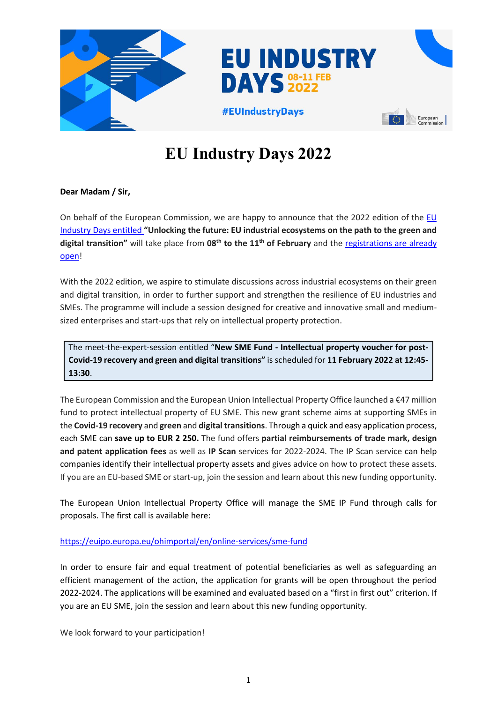

# **EU Industry Days 2022**

### **Dear Madam / Sir,**

On behalf of the European Commission, we are happy to announce that the 2022 edition of the [EU](https://eu-industry-days.ec.europa.eu/)  [Industry Days](https://eu-industry-days.ec.europa.eu/) entitled **"Unlocking the future: EU industrial ecosystems on the path to the green and**  digital transition" will take place from 08<sup>th</sup> to the 11<sup>th</sup> of February and the registrations are already [open!](https://eu-industry-days.ec.europa.eu/register)

With the 2022 edition, we aspire to stimulate discussions across industrial ecosystems on their green and digital transition, in order to further support and strengthen the resilience of EU industries and SMEs. The programme will include a session designed for creative and innovative small and mediumsized enterprises and start-ups that rely on intellectual property protection.

The meet-the-expert-session entitled "**New SME Fund - Intellectual property voucher for post-Covid-19 recovery and green and digital transitions"** is scheduled for **11 February 2022 at 12:45- 13:30**.

The European Commission and the European Union Intellectual Property Office launched a €47 million fund to protect intellectual property of EU SME. This new grant scheme aims at supporting SMEs in the **Covid-19 recovery** and **green** and **digital transitions**. Through a quick and easy application process, each SME can **save up to EUR 2 250.** The fund offers **partial reimbursements of trade mark, design and patent application fees** as well as **IP Scan** services for 2022-2024. The IP Scan service can help companies identify their intellectual property assets and gives advice on how to protect these assets. If you are an EU-based SME or start-up, join the session and learn about this new funding opportunity.

The European Union Intellectual Property Office will manage the SME IP Fund through calls for proposals. The first call is available here:

#### <https://euipo.europa.eu/ohimportal/en/online-services/sme-fund>

In order to ensure fair and equal treatment of potential beneficiaries as well as safeguarding an efficient management of the action, the application for grants will be open throughout the period 2022-2024. The applications will be examined and evaluated based on a "first in first out" criterion. If you are an EU SME, join the session and learn about this new funding opportunity.

We look forward to your participation!